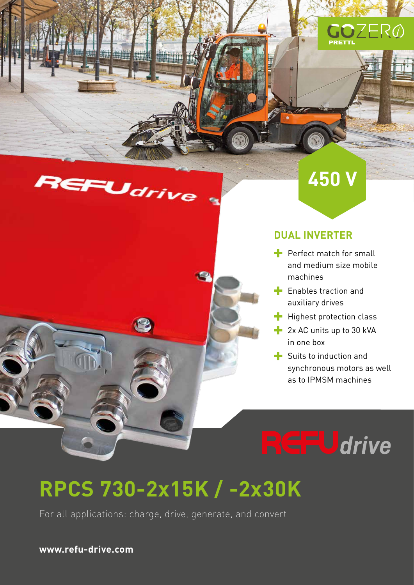







#### **DUAL INVERTER**

- $\blacktriangle$  Perfect match for small and medium size mobile machines
- $\blacksquare$  Enables traction and auxiliary drives
- $\blacksquare$  Highest protection class
- **2x AC units up to 30 kVA** in one box
- $\blacksquare$  Suits to induction and synchronous motors as well as to IPMSM machines

**CFU**drive

# **RPCS 730-2x15K / -2x30K**

For all applications: charge, drive, generate, and convert

**www.refu-drive.com**